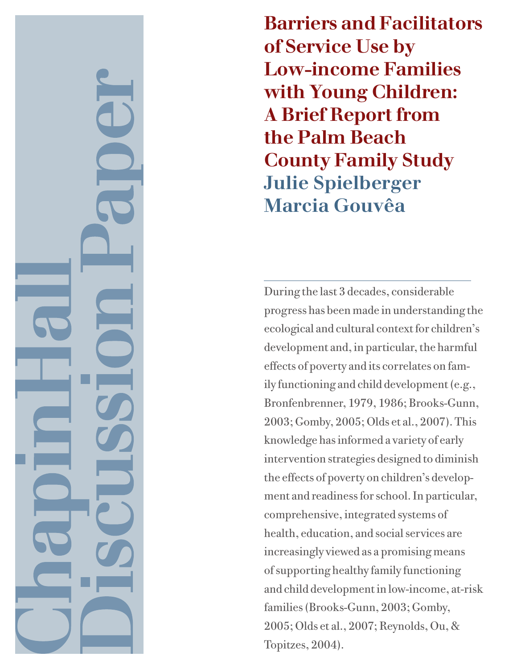**Barriers and Facilitators of Service Use by Low-income Families with Young Children: A Brief Report from the Palm Beach County Family Study Julie Spielberger Marcia Gouvêa**

During the last 3 decades, considerable progress has been made in understanding the ecological and cultural context for children's development and, in particular, the harmful effects of poverty and its correlates on family functioning and child development (e.g., Bronfenbrenner, 1979, 1986; Brooks-Gunn, 2003; Gomby, 2005; Olds et al., 2007). This knowledge has informed a variety of early intervention strategies designed to diminish the effects of poverty on children's development and readiness for school. In particular, comprehensive, integrated systems of health, education, and social services are increasingly viewed as a promising means of supporting healthy family functioning and child development in low-income, at-risk families (Brooks-Gunn, 2003; Gomby, 2005; Olds et al., 2007; Reynolds, Ou, & Topitzes, 2004).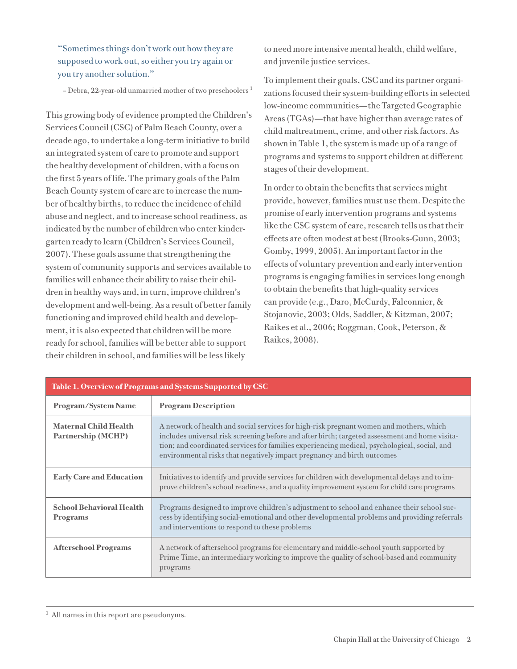"Sometimes things don't work out how they are supposed to work out, so either you try again or you try another solution."

– Debra, 22-year-old unmarried mother of two preschoolers 1

This growing body of evidence prompted the Children's Services Council (CSC) of Palm Beach County, over a decade ago, to undertake a long-term initiative to build an integrated system of care to promote and support the healthy development of children, with a focus on the first 5 years of life. The primary goals of the Palm Beach County system of care are to increase the number of healthy births, to reduce the incidence of child abuse and neglect, and to increase school readiness, as indicated by the number of children who enter kindergarten ready to learn (Children's Services Council, 2007). These goals assume that strengthening the system of community supports and services available to families will enhance their ability to raise their children in healthy ways and, in turn, improve children's development and well-being. As a result of better family functioning and improved child health and development, it is also expected that children will be more ready for school, families will be better able to support their children in school, and families will be less likely

to need more intensive mental health, child welfare, and juvenile justice services.

To implement their goals, CSC and its partner organizations focused their system-building efforts in selected low-income communities—the Targeted Geographic Areas (TGAs)—that have higher than average rates of child maltreatment, crime, and other risk factors. As shown in Table 1, the system is made up of a range of programs and systems to support children at different stages of their development.

In order to obtain the benefits that services might provide, however, families must use them. Despite the promise of early intervention programs and systems like the CSC system of care, research tells us that their effects are often modest at best (Brooks-Gunn, 2003; Gomby, 1999, 2005). An important factor in the effects of voluntary prevention and early intervention programs is engaging families in services long enough to obtain the benefits that high-quality services can provide (e.g., Daro, McCurdy, Falconnier, & Stojanovic, 2003; Olds, Saddler, & Kitzman, 2007; Raikes et al., 2006; Roggman, Cook, Peterson, & Raikes, 2008).

| Table 1. Overview of Programs and Systems Supported by CSC |                                                                                                                                                                                                                                                                                                                                                                      |  |  |  |  |
|------------------------------------------------------------|----------------------------------------------------------------------------------------------------------------------------------------------------------------------------------------------------------------------------------------------------------------------------------------------------------------------------------------------------------------------|--|--|--|--|
| <b>Program/System Name</b>                                 | <b>Program Description</b>                                                                                                                                                                                                                                                                                                                                           |  |  |  |  |
| <b>Maternal Child Health</b><br><b>Partnership (MCHP)</b>  | A network of health and social services for high-risk pregnant women and mothers, which<br>includes universal risk screening before and after birth; targeted assessment and home visita-<br>tion; and coordinated services for families experiencing medical, psychological, social, and<br>environmental risks that negatively impact pregnancy and birth outcomes |  |  |  |  |
| <b>Early Care and Education</b>                            | Initiatives to identify and provide services for children with developmental delays and to im-<br>prove children's school readiness, and a quality improvement system for child care programs                                                                                                                                                                        |  |  |  |  |
| <b>School Behavioral Health</b><br><b>Programs</b>         | Programs designed to improve children's adjustment to school and enhance their school suc-<br>cess by identifying social-emotional and other developmental problems and providing referrals<br>and interventions to respond to these problems                                                                                                                        |  |  |  |  |
| <b>Afterschool Programs</b>                                | A network of afterschool programs for elementary and middle-school youth supported by<br>Prime Time, an intermediary working to improve the quality of school-based and community<br>programs                                                                                                                                                                        |  |  |  |  |

<sup>&</sup>lt;sup>1</sup> All names in this report are pseudonyms.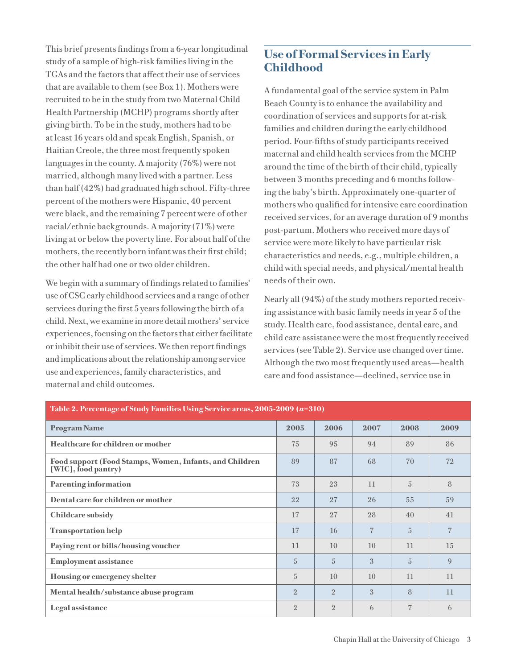This brief presents findings from a 6-year longitudinal study of a sample of high-risk families living in the TGAs and the factors that affect their use of services that are available to them (see Box 1). Mothers were recruited to be in the study from two Maternal Child Health Partnership (MCHP) programs shortly after giving birth. To be in the study, mothers had to be at least 16 years old and speak English, Spanish, or Haitian Creole, the three most frequently spoken languages in the county. A majority (76%) were not married, although many lived with a partner. Less than half (42%) had graduated high school. Fifty-three percent of the mothers were Hispanic, 40 percent were black, and the remaining 7 percent were of other racial/ethnic backgrounds. A majority (71%) were living at or below the poverty line. For about half of the mothers, the recently born infant was their first child; the other half had one or two older children.

We begin with a summary of findings related to families' use of CSC early childhood services and a range of other services during the first 5 years following the birth of a child. Next, we examine in more detail mothers' service experiences, focusing on the factors that either facilitate or inhibit their use of services. We then report findings and implications about the relationship among service use and experiences, family characteristics, and maternal and child outcomes.

## **Use of Formal Services in Early Childhood**

A fundamental goal of the service system in Palm Beach County is to enhance the availability and coordination of services and supports for at-risk families and children during the early childhood period. Four-fifths of study participants received maternal and child health services from the MCHP around the time of the birth of their child, typically between 3 months preceding and 6 months following the baby's birth. Approximately one-quarter of mothers who qualified for intensive care coordination received services, for an average duration of 9 months post-partum. Mothers who received more days of service were more likely to have particular risk characteristics and needs, e.g., multiple children, a child with special needs, and physical/mental health needs of their own.

Nearly all (94%) of the study mothers reported receiving assistance with basic family needs in year 5 of the study. Health care, food assistance, dental care, and child care assistance were the most frequently received services (see Table 2). Service use changed over time. Although the two most frequently used areas—health care and food assistance—declined, service use in

| Table 2. Percentage of Study Families Using Service areas, 2005-2009 (n=310)   |  |                |                |                |                |  |  |  |
|--------------------------------------------------------------------------------|--|----------------|----------------|----------------|----------------|--|--|--|
| <b>Program Name</b>                                                            |  | 2006           | 2007           | 2008           | 2009           |  |  |  |
| Healthcare for children or mother                                              |  | 95             | 94             | 89             | 86             |  |  |  |
| Food support (Food Stamps, Women, Infants, and Children<br>[WIC], food pantry) |  | 87             | 68             | 70             | 72             |  |  |  |
| <b>Parenting information</b>                                                   |  | 23             | 11             | $\overline{5}$ | 8              |  |  |  |
| Dental care for children or mother                                             |  | 27             | 26             | 55             | 59             |  |  |  |
| <b>Childcare subsidy</b>                                                       |  | 27             | 28             | 40             | 41             |  |  |  |
| <b>Transportation help</b>                                                     |  | 16             | $\overline{7}$ | $\overline{5}$ | $\overline{7}$ |  |  |  |
| Paying rent or bills/housing voucher                                           |  | 10             | 10             | 11             | 15             |  |  |  |
| <b>Employment assistance</b>                                                   |  | $\overline{5}$ | $\overline{3}$ | 5              | 9              |  |  |  |
| Housing or emergency shelter                                                   |  | 10             | 10             | 11             | 11             |  |  |  |
| Mental health/substance abuse program                                          |  | $\overline{2}$ | $\overline{3}$ | 8              | 11             |  |  |  |
| Legal assistance                                                               |  | $\overline{2}$ | 6              | 7              | 6              |  |  |  |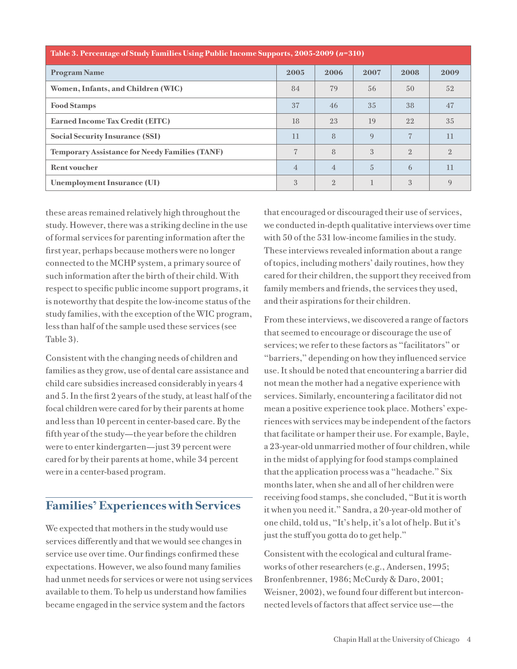| Table 3. Percentage of Study Families Using Public Income Supports, 2005-2009 (n=310) |    |                |             |                |                |  |  |  |
|---------------------------------------------------------------------------------------|----|----------------|-------------|----------------|----------------|--|--|--|
| <b>Program Name</b>                                                                   |    | 2006           | 2007        | 2008           | 2009           |  |  |  |
| Women, Infants, and Children (WIC)                                                    | 84 | 79             | 56          | 50             | 52             |  |  |  |
| <b>Food Stamps</b>                                                                    | 37 | 46             | 35          | 38             | 47             |  |  |  |
| <b>Earned Income Tax Credit (EITC)</b>                                                |    | 23             | 19          | 22             | 35             |  |  |  |
| <b>Social Security Insurance (SSI)</b>                                                |    | 8              | $\mathbf Q$ | 7              | 11             |  |  |  |
| <b>Temporary Assistance for Needy Families (TANF)</b>                                 |    | 8              | 3           | $\mathfrak{D}$ | $\mathfrak{D}$ |  |  |  |
| <b>Rent voucher</b>                                                                   |    | $\overline{4}$ | 5           | 6              | 11             |  |  |  |
| Unemployment Insurance (UI)                                                           |    | $\overline{2}$ |             | 3              | Q              |  |  |  |

these areas remained relatively high throughout the study. However, there was a striking decline in the use of formal services for parenting information after the first year, perhaps because mothers were no longer connected to the MCHP system, a primary source of such information after the birth of their child. With respect to specific public income support programs, it is noteworthy that despite the low-income status of the study families, with the exception of the WIC program, less than half of the sample used these services (see Table 3).

Consistent with the changing needs of children and families as they grow, use of dental care assistance and child care subsidies increased considerably in years 4 and 5. In the first 2 years of the study, at least half of the focal children were cared for by their parents at home and less than 10 percent in center-based care. By the fifth year of the study—the year before the children were to enter kindergarten—just 39 percent were cared for by their parents at home, while 34 percent were in a center-based program.

## **Families' Experiences with Services**

We expected that mothers in the study would use services differently and that we would see changes in service use over time. Our findings confirmed these expectations. However, we also found many families had unmet needs for services or were not using services available to them. To help us understand how families became engaged in the service system and the factors

that encouraged or discouraged their use of services, we conducted in-depth qualitative interviews over time with 50 of the 531 low-income families in the study. These interviews revealed information about a range of topics, including mothers' daily routines, how they cared for their children, the support they received from family members and friends, the services they used, and their aspirations for their children.

From these interviews, we discovered a range of factors that seemed to encourage or discourage the use of services; we refer to these factors as "facilitators" or "barriers," depending on how they influenced service use. It should be noted that encountering a barrier did not mean the mother had a negative experience with services. Similarly, encountering a facilitator did not mean a positive experience took place. Mothers' experiences with services may be independent of the factors that facilitate or hamper their use. For example, Bayle, a 23-year-old unmarried mother of four children, while in the midst of applying for food stamps complained that the application process was a "headache." Six months later, when she and all of her children were receiving food stamps, she concluded, "But it is worth it when you need it." Sandra, a 20-year-old mother of one child, told us, "It's help, it's a lot of help. But it's just the stuff you gotta do to get help."

Consistent with the ecological and cultural frameworks of other researchers (e.g., Andersen, 1995; Bronfenbrenner, 1986; McCurdy & Daro, 2001; Weisner, 2002), we found four different but interconnected levels of factors that affect service use—the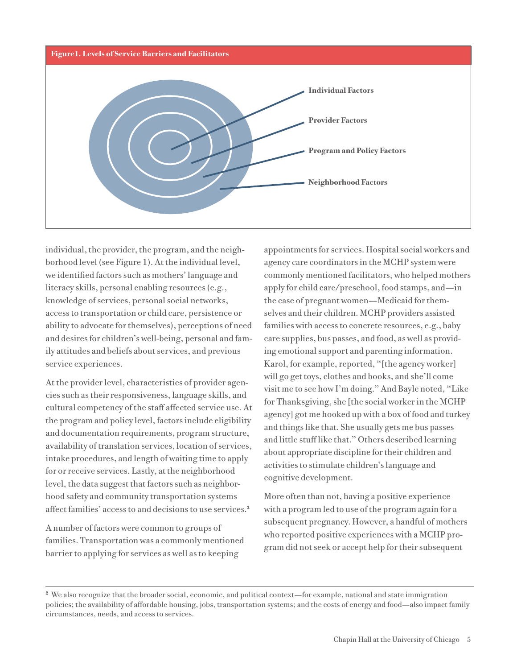

individual, the provider, the program, and the neighborhood level (see Figure 1). At the individual level, we identified factors such as mothers' language and literacy skills, personal enabling resources (e.g., knowledge of services, personal social networks, access to transportation or child care, persistence or ability to advocate for themselves), perceptions of need and desires for children's well-being, personal and family attitudes and beliefs about services, and previous service experiences.

At the provider level, characteristics of provider agencies such as their responsiveness, language skills, and cultural competency of the staff affected service use. At the program and policy level, factors include eligibility and documentation requirements, program structure, availability of translation services, location of services, intake procedures, and length of waiting time to apply for or receive services. Lastly, at the neighborhood level, the data suggest that factors such as neighborhood safety and community transportation systems affect families' access to and decisions to use services.2

A number of factors were common to groups of families. Transportation was a commonly mentioned barrier to applying for services as well as to keeping

appointments for services. Hospital social workers and agency care coordinators in the MCHP system were commonly mentioned facilitators, who helped mothers apply for child care/preschool, food stamps, and—in the case of pregnant women—Medicaid for themselves and their children. MCHP providers assisted families with access to concrete resources, e.g., baby care supplies, bus passes, and food, as well as providing emotional support and parenting information. Karol, for example, reported, "[the agency worker] will go get toys, clothes and books, and she'll come visit me to see how I'm doing." And Bayle noted, "Like for Thanksgiving, she [the social worker in the MCHP agency] got me hooked up with a box of food and turkey and things like that. She usually gets me bus passes and little stuff like that." Others described learning about appropriate discipline for their children and activities to stimulate children's language and cognitive development.

More often than not, having a positive experience with a program led to use of the program again for a subsequent pregnancy. However, a handful of mothers who reported positive experiences with a MCHP program did not seek or accept help for their subsequent

<sup>2</sup> We also recognize that the broader social, economic, and political context—for example, national and state immigration policies; the availability of affordable housing, jobs, transportation systems; and the costs of energy and food—also impact family circumstances, needs, and access to services.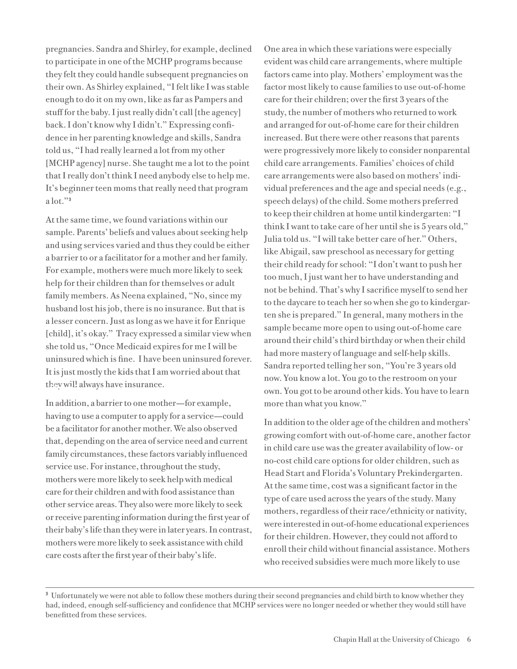pregnancies. Sandra and Shirley, for example, declined to participate in one of the MCHP programs because they felt they could handle subsequent pregnancies on their own. As Shirley explained, "I felt like I was stable enough to do it on my own, like as far as Pampers and stuff for the baby. I just really didn't call [the agency] back. I don't know why I didn't." Expressing confidence in her parenting knowledge and skills, Sandra told us, "I had really learned a lot from my other [MCHP agency] nurse. She taught me a lot to the point that I really don't think I need anybody else to help me. It's beginner teen moms that really need that program a lot."3

At the same time, we found variations within our sample. Parents' beliefs and values about seeking help and using services varied and thus they could be either a barrier to or a facilitator for a mother and her family. For example, mothers were much more likely to seek help for their children than for themselves or adult family members. As Neena explained, "No, since my husband lost his job, there is no insurance. But that is a lesser concern. Just as long as we have it for Enrique [child], it's okay." Tracy expressed a similar view when she told us, "Once Medicaid expires for me I will be uninsured which is fine. I have been uninsured forever. It is just mostly the kids that I am worried about that they will always have insurance. **Figure 2.**

In addition, a barrier to one mother—for example, having to use a computer to apply for a service—could be a facilitator for another mother. We also observed that, depending on the area of service need and current family circumstances, these factors variably influenced service use. For instance, throughout the study, mothers were more likely to seek help with medical care for their children and with food assistance than other service areas. They also were more likely to seek or receive parenting information during the first year of their baby's life than they were in later years. In contrast, mothers were more likely to seek assistance with child care costs after the first year of their baby's life.

One area in which these variations were especially evident was child care arrangements, where multiple factors came into play. Mothers' employment was the factor most likely to cause families to use out-of-home care for their children; over the first 3 years of the study, the number of mothers who returned to work and arranged for out-of-home care for their children increased. But there were other reasons that parents were progressively more likely to consider nonparental child care arrangements. Families' choices of child care arrangements were also based on mothers' individual preferences and the age and special needs (e.g., speech delays) of the child. Some mothers preferred to keep their children at home until kindergarten: "I think I want to take care of her until she is 5 years old," Julia told us. "I will take better care of her." Others, like Abigail, saw preschool as necessary for getting their child ready for school: "I don't want to push her too much, I just want her to have understanding and not be behind. That's why I sacrifice myself to send her to the daycare to teach her so when she go to kindergarten she is prepared." In general, many mothers in the sample became more open to using out-of-home care around their child's third birthday or when their child had more mastery of language and self-help skills. Sandra reported telling her son, "You're 3 years old now. You know a lot. You go to the restroom on your own. You got to be around other kids. You have to learn more than what you know."

In addition to the older age of the children and mothers' growing comfort with out-of-home care, another factor in child care use was the greater availability of low- or no-cost child care options for older children, such as Head Start and Florida's Voluntary Prekindergarten. At the same time, cost was a significant factor in the type of care used across the years of the study. Many mothers, regardless of their race/ethnicity or nativity, were interested in out-of-home educational experiences for their children. However, they could not afford to enroll their child without financial assistance. Mothers who received subsidies were much more likely to use

<sup>&</sup>lt;sup>3</sup> Unfortunately we were not able to follow these mothers during their second pregnancies and child birth to know whether they had, indeed, enough self-sufficiency and confidence that MCHP services were no longer needed or whether they would still have benefitted from these services.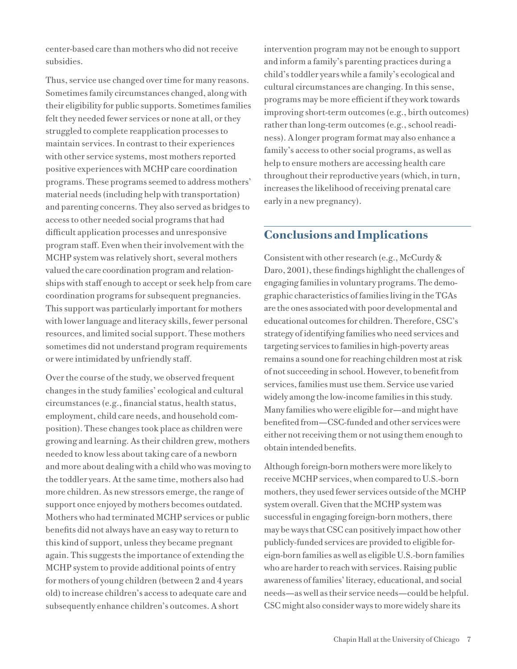center-based care than mothers who did not receive subsidies.

Thus, service use changed over time for many reasons. Sometimes family circumstances changed, along with their eligibility for public supports. Sometimes families felt they needed fewer services or none at all, or they struggled to complete reapplication processes to maintain services. In contrast to their experiences with other service systems, most mothers reported positive experiences with MCHP care coordination programs. These programs seemed to address mothers' material needs (including help with transportation) and parenting concerns. They also served as bridges to access to other needed social programs that had difficult application processes and unresponsive program staff. Even when their involvement with the MCHP system was relatively short, several mothers valued the care coordination program and relationships with staff enough to accept or seek help from care coordination programs for subsequent pregnancies. This support was particularly important for mothers with lower language and literacy skills, fewer personal resources, and limited social support. These mothers sometimes did not understand program requirements or were intimidated by unfriendly staff.

Over the course of the study, we observed frequent changes in the study families' ecological and cultural circumstances (e.g., financial status, health status, employment, child care needs, and household composition). These changes took place as children were growing and learning. As their children grew, mothers needed to know less about taking care of a newborn and more about dealing with a child who was moving to the toddler years. At the same time, mothers also had more children. As new stressors emerge, the range of support once enjoyed by mothers becomes outdated. Mothers who had terminated MCHP services or public benefits did not always have an easy way to return to this kind of support, unless they became pregnant again. This suggests the importance of extending the MCHP system to provide additional points of entry for mothers of young children (between 2 and 4 years old) to increase children's access to adequate care and subsequently enhance children's outcomes. A short

intervention program may not be enough to support and inform a family's parenting practices during a child's toddler years while a family's ecological and cultural circumstances are changing. In this sense, programs may be more efficient if they work towards improving short-term outcomes (e.g., birth outcomes) rather than long-term outcomes (e.g., school readiness). A longer program format may also enhance a family's access to other social programs, as well as help to ensure mothers are accessing health care throughout their reproductive years (which, in turn, increases the likelihood of receiving prenatal care early in a new pregnancy).

## **Conclusions and Implications**

Consistent with other research (e.g., McCurdy & Daro, 2001), these findings highlight the challenges of engaging families in voluntary programs. The demographic characteristics of families living in the TGAs are the ones associated with poor developmental and educational outcomes for children. Therefore, CSC's strategy of identifying families who need services and targeting services to families in high-poverty areas remains a sound one for reaching children most at risk of not succeeding in school. However, to benefit from services, families must use them. Service use varied widely among the low-income families in this study. Many families who were eligible for—and might have benefited from—CSC-funded and other services were either not receiving them or not using them enough to obtain intended benefits.

Although foreign-born mothers were more likely to receive MCHP services, when compared to U.S.-born mothers, they used fewer services outside of the MCHP system overall. Given that the MCHP system was successful in engaging foreign-born mothers, there may be ways that CSC can positively impact how other publicly-funded services are provided to eligible foreign-born families as well as eligible U.S.-born families who are harder to reach with services. Raising public awareness of families' literacy, educational, and social needs—as well as their service needs—could be helpful. CSC might also consider ways to more widely share its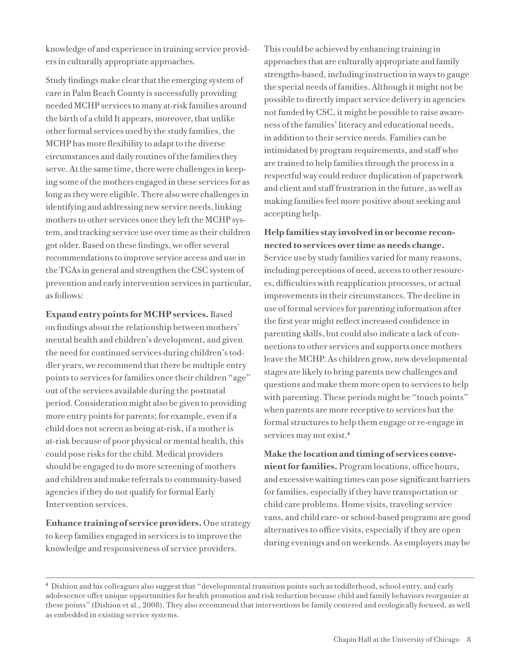knowledge of and experience in training service providers in culturally appropriate approaches.

Study findings make clear that the emerging system of care in Palm Beach County is successfully providing needed MCHP services to many at-risk families around the birth of a child It appears, moreover, that unlike other formal services used by the study families, the MCHP has more flexibility to adapt to the diverse circumstances and daily routines of the families they serve. At the same time, there were challenges in keeping some of the mothers engaged in these services for as long as they were eligible. There also were challenges in identifying and addressing new service needs, linking mothers to other services once they left the MCHP system, and tracking service use over time as their children got older. Based on these findings, we offer several recommendations to improve service access and use in the TGAs in general and strengthen the CSC system of prevention and early intervention services in particular, as follows:

**Expand entry points for MCHP services.** Based on findings about the relationship between mothers' mental health and children's development, and given the need for continued services during children's toddler years, we recommend that there be multiple entry points to services for families once their children "age" out of the services available during the postnatal period. Consideration might also be given to providing more entry points for parents; for example, even if a child does not screen as being at-risk, if a mother is at-risk because of poor physical or mental health, this could pose risks for the child. Medical providers should be engaged to do more screening of mothers and children and make referrals to community-based agencies if they do not qualify for formal Early Intervention services.

**Enhance training of service providers.** One strategy to keep families engaged in services is to improve the knowledge and responsiveness of service providers.

This could be achieved by enhancing training in approaches that are culturally appropriate and family strengths-based, including instruction in ways to gauge the special needs of families. Although it might not be possible to directly impact service delivery in agencies not funded by CSC, it might be possible to raise awareness of the families' literacy and educational needs, in addition to their service needs. Families can be intimidated by program requirements, and staff who are trained to help families through the process in a respectful way could reduce duplication of paperwork and client and staff frustration in the future, as well as making families feel more positive about seeking and accepting help.

**Help families stay involved in or become reconnected to services over time as needs change.**  Service use by study families varied for many reasons, including perceptions of need, access to other resources, difficulties with reapplication processes, or actual improvements in their circumstances. The decline in use of formal services for parenting information after the first year might reflect increased confidence in parenting skills, but could also indicate a lack of connections to other services and supports once mothers leave the MCHP. As children grow, new developmental stages are likely to bring parents new challenges and questions and make them more open to services to help with parenting. These periods might be "touch points" when parents are more receptive to services but the formal structures to help them engage or re-engage in services may not exist.<sup>4</sup>

**Make the location and timing of services convenient for families.** Program locations, office hours, and excessive waiting times can pose significant barriers for families, especially if they have transportation or child care problems. Home visits, traveling service vans, and child care- or school-based programs are good alternatives to office visits, especially if they are open during evenings and on weekends. As employers may be

<sup>4</sup> Dishion and his colleagues also suggest that "developmental transition points such as toddlerhood, school entry, and early adolescence offer unique opportunities for health promotion and risk reduction because child and family behaviors reorganize at these points" (Dishion et al., 2008). They also recommend that interventions be family centered and ecologically focused, as well as embedded in existing service systems.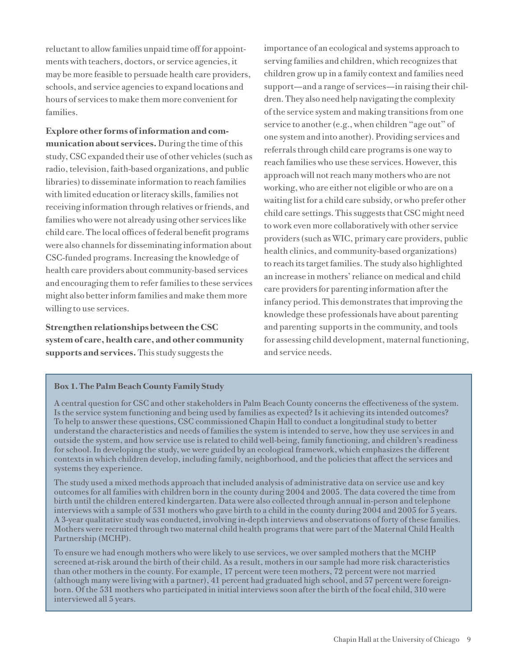reluctant to allow families unpaid time off for appointments with teachers, doctors, or service agencies, it may be more feasible to persuade health care providers, schools, and service agencies to expand locations and hours of services to make them more convenient for families.

**Explore other forms of information and communication about services.** During the time of this study, CSC expanded their use of other vehicles (such as radio, television, faith-based organizations, and public libraries) to disseminate information to reach families with limited education or literacy skills, families not receiving information through relatives or friends, and families who were not already using other services like child care. The local offices of federal benefit programs were also channels for disseminating information about CSC-funded programs. Increasing the knowledge of health care providers about community-based services and encouraging them to refer families to these services might also better inform families and make them more willing to use services.

**Strengthen relationships between the CSC system of care, health care, and other community supports and services.** This study suggests the

importance of an ecological and systems approach to serving families and children, which recognizes that children grow up in a family context and families need support—and a range of services—in raising their children. They also need help navigating the complexity of the service system and making transitions from one service to another (e.g., when children "age out" of one system and into another). Providing services and referrals through child care programs is one way to reach families who use these services. However, this approach will not reach many mothers who are not working, who are either not eligible or who are on a waiting list for a child care subsidy, or who prefer other child care settings. This suggests that CSC might need to work even more collaboratively with other service providers (such as WIC, primary care providers, public health clinics, and community-based organizations) to reach its target families. The study also highlighted an increase in mothers' reliance on medical and child care providers for parenting information after the infancy period. This demonstrates that improving the knowledge these professionals have about parenting and parenting supports in the community, and tools for assessing child development, maternal functioning, and service needs.

### **Box 1. The Palm Beach County Family Study**

A central question for CSC and other stakeholders in Palm Beach County concerns the effectiveness of the system. Is the service system functioning and being used by families as expected? Is it achieving its intended outcomes? To help to answer these questions, CSC commissioned Chapin Hall to conduct a longitudinal study to better understand the characteristics and needs of families the system is intended to serve, how they use services in and outside the system, and how service use is related to child well-being, family functioning, and children's readiness for school. In developing the study, we were guided by an ecological framework, which emphasizes the different contexts in which children develop, including family, neighborhood, and the policies that affect the services and systems they experience.

The study used a mixed methods approach that included analysis of administrative data on service use and key outcomes for all families with children born in the county during 2004 and 2005. The data covered the time from birth until the children entered kindergarten. Data were also collected through annual in-person and telephone interviews with a sample of 531 mothers who gave birth to a child in the county during 2004 and 2005 for 5 years. A 3-year qualitative study was conducted, involving in-depth interviews and observations of forty of these families. Mothers were recruited through two maternal child health programs that were part of the Maternal Child Health Partnership (MCHP).

To ensure we had enough mothers who were likely to use services, we over sampled mothers that the MCHP screened at-risk around the birth of their child. As a result, mothers in our sample had more risk characteristics than other mothers in the county. For example, 17 percent were teen mothers, 72 percent were not married (although many were living with a partner), 41 percent had graduated high school, and 57 percent were foreignborn. Of the 531 mothers who participated in initial interviews soon after the birth of the focal child, 310 were interviewed all 5 years.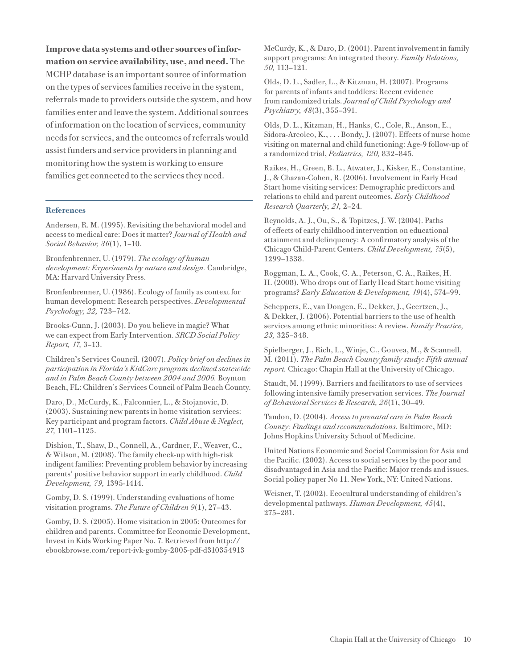**Improve data systems and other sources of information on service availability, use, and need.** The

MCHP database is an important source of information on the types of services families receive in the system, referrals made to providers outside the system, and how families enter and leave the system. Additional sources of information on the location of services, community needs for services, and the outcomes of referrals would assist funders and service providers in planning and monitoring how the system is working to ensure families get connected to the services they need.

#### **References**

Andersen, R. M. (1995). Revisiting the behavioral model and access to medical care: Does it matter? *Journal of Health and Social Behavior, 36*(1), 1–10.

Bronfenbrenner, U. (1979). *The ecology of human development: Experiments by nature and design.* Cambridge, MA: Harvard University Press.

Bronfenbrenner, U. (1986). Ecology of family as context for human development: Research perspectives. *Developmental Psychology, 22,* 723–742.

Brooks-Gunn, J. (2003). Do you believe in magic? What we can expect from Early Intervention. *SRCD Social Policy Report, 17,* 3–13.

Children's Services Council. (2007). *Policy brief on declines in participation in Florida's KidCare program declined statewide and in Palm Beach County between 2004 and 2006.* Boynton Beach, FL: Children's Services Council of Palm Beach County.

Daro, D., McCurdy, K., Falconnier, L., & Stojanovic, D. (2003). Sustaining new parents in home visitation services: Key participant and program factors. *Child Abuse & Neglect, 27,* 1101–1125.

Dishion, T., Shaw, D., Connell, A., Gardner, F., Weaver, C., & Wilson, M. (2008). The family check-up with high-risk indigent families: Preventing problem behavior by increasing parents' positive behavior support in early childhood. *Child Development, 79,* 1395-1414.

Gomby, D. S. (1999). Understanding evaluations of home visitation programs. *The Future of Children 9*(1), 27–43.

Gomby, D. S. (2005). Home visitation in 2005: Outcomes for children and parents. Committee for Economic Development, Invest in Kids Working Paper No. 7. Retrieved from http:// ebookbrowse.com/report-ivk-gomby-2005-pdf-d310354913

McCurdy, K., & Daro, D. (2001). Parent involvement in family support programs: An integrated theory. *Family Relations, 50,* 113–121.

Olds, D. L., Sadler, L., & Kitzman, H. (2007). Programs for parents of infants and toddlers: Recent evidence from randomized trials. *Journal of Child Psychology and Psychiatry, 48*(3), 355–391.

Olds, D. L., Kitzman, H., Hanks, C., Cole, R., Anson, E., Sidora-Arcoleo, K., . . . Bondy, J. (2007). Effects of nurse home visiting on maternal and child functioning: Age-9 follow-up of a randomized trial, *Pediatrics, 120,* 832–845.

Raikes, H., Green, B. L., Atwater, J., Kisker, E., Constantine, J., & Chazan-Cohen, R. (2006). Involvement in Early Head Start home visiting services: Demographic predictors and relations to child and parent outcomes. *Early Childhood Research Quarterly, 21,* 2–24.

Reynolds, A. J., Ou, S., & Topitzes, J. W. (2004). Paths of effects of early childhood intervention on educational attainment and delinquency: A confirmatory analysis of the Chicago Child-Parent Centers. *Child Development, 75*(5), 1299–1338.

Roggman, L. A., Cook, G. A., Peterson, C. A., Raikes, H. H. (2008). Who drops out of Early Head Start home visiting programs? *Early Education & Development, 19*(4), 574–99.

Scheppers, E., van Dongen, E., Dekker, J., Geertzen, J., & Dekker, J. (2006). Potential barriers to the use of health services among ethnic minorities: A review. *Family Practice, 23,* 325–348.

Spielberger, J., Rich, L., Winje, C., Gouvea, M., & Scannell, M. (2011). *The Palm Beach County family study: Fifth annual report.* Chicago: Chapin Hall at the University of Chicago.

Staudt, M. (1999). Barriers and facilitators to use of services following intensive family preservation services. *The Journal of Behavioral Services & Research, 26*(1), 30–49.

Tandon, D. (2004). *Access to prenatal care in Palm Beach County: Findings and recommendations.* Baltimore, MD: Johns Hopkins University School of Medicine.

United Nations Economic and Social Commission for Asia and the Pacific. (2002). Access to social services by the poor and disadvantaged in Asia and the Pacific: Major trends and issues. Social policy paper No 11. New York, NY: United Nations.

Weisner, T. (2002). Ecocultural understanding of children's developmental pathways. *Human Development, 45*(4), 275–281.